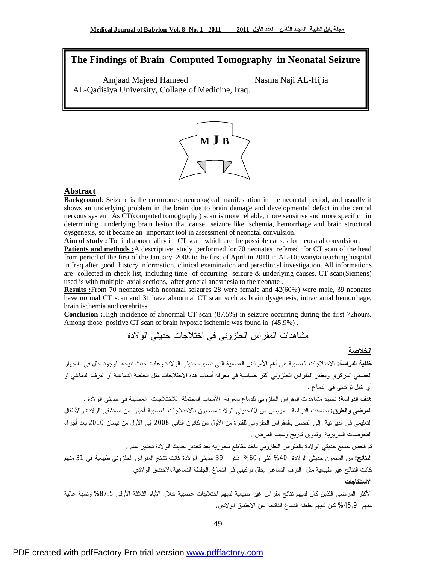# **The Findings of Brain Computed Tomography in Neonatal Seizure**

Amjaad Majeed Hameed Nasma Naji AL-Hijia AL-Qadisiya University, Collage of Medicine, Iraq.



#### **Abstract**

**Background:** Seizure is the commonest neurological manifestation in the neonatal period, and usually it shows an underlying problem in the brain due to brain damage and developmental defect in the central nervous system. As CT(computed tomography ) scan is more reliable, more sensitive and more specific in determining underlying brain lesion that cause seizure like ischemia, hemorrhage and brain structural dysgenesis, so it became an important tool in assessment of neonatal convulsion.

**Aim of study :** To find abnormality in CT scan which are the possible causes for neonatal convulsion .

**Patients and methods :**A descriptive study ,performed for 70 neonates referred for CT scan of the head from period of the first of the January 2008 to the first of April in 2010 in AL-Diawanyia teaching hospital in Iraq after good history information, clinical examination and paraclincal investigation. All informations are collected in check list, including time of occurring seizure & underlying causes. CT scan(Siemens) used is with multiple axial sections, after general anesthesia to the neonate .

**Results :**From 70 neonates with neonatal seizures 28 were female and 42(60%) were male, 39 neonates have normal CT scan and 31 have abnormal CT scan such as brain dysgenesis, intracranial hemorrhage, brain ischemia and cerebrites.

**Conclusion :**High incidence of abnormal CT scan (87.5%) in seizure occurring during the first 72hours. Among those positive CT scan of brain hypoxic ischemic was found in (45.9%) .

مشاهدات المفراس الحلزوني في اختلاجات حديثي الولادة

#### **الخلاصة**

**خلفية الدراسة:** الاختلاجات العصبية هي أهم الأمراض العصبية التي تصيب حديثي الولادة وعادة تحدث نتيحه لوجود خلل في الجهاز العصبي المركزي ويعتبر المفراس الحلزوني أكثر حساسية في معرفة أسباب هده الاختلاجات مثل الجلطة الدماغية او النزف الدماغي او أي خلل تركيبي في الدماغ .

**هدف الدراسة:** تحديد مشاهدات المفراس الحلزوني للدماغ لمعرفة الأسباب المحتملة للاختلاجات العصبية في حديثي الولادة . **المرضى والطرق:** تضمنت الدراسة مريض من 70حديثي الولادة مصابون بالاختلاجات العصبية أحيلوا من مستشفى الولادة والأطفال التعليمي في الديوانية إلى الفحص بالمفراس الحلزوني للفترة من الأول من كانون الثاني 2008 إلى الأول من نيسان 2010 بعد أجراء الفحوصات السريرية وتدوين تاريخ وسبب المرض .

تم فحص جميع حديثي الولادة بالمفراس الحلزوني باخد مقاطع محوريه بعد تخدير حديث الولادة تخدير عام .

**النتائج:** من السبعون حديثي الولادة %40 أنثى و%60 ذكر 39. حديثي الولادة كانت نتائج المفراس الحلزوني طبيعية في 31 منهم كانت النتائج غير طبيعية مثل النزف الدماغي ,خلل تركيبي في الدماغ ,الجلطة الدماغية.الاختناق الولادي. **الاستنتاجات** 

الأكثر المرضى اللذين كان لديهم نتائج مفراس غير طبيعية لديهم اختلاجات عصبية خلال الأيام الثلاثة الأولى %87.5 ونسبة عالية منهم %45.9 كان لديهم جلطة الدماغ الناتجة عن الاختناق الولادي.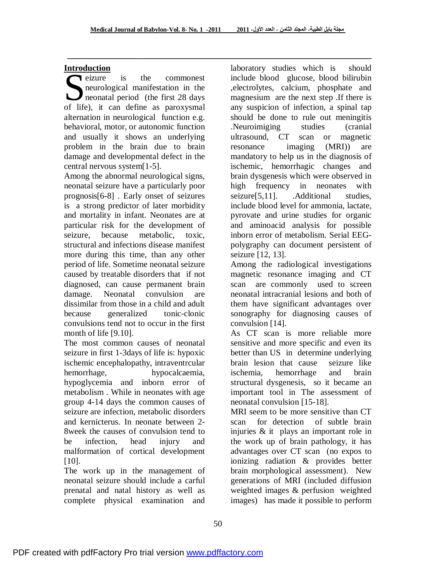ـــــــــــــــــــــــــــــــــــــــــــــــــــــــــــــــــــ

## **Introduction**

eizure is the commonest neurological manifestation in the neonatal period (the first 28 days **CONCORREGISTER:** is the commonest<br>neurological manifestation in the<br>neonatal period (the first 28 days<br>of life), it can define as paroxysmal alternation in neurological function e.g. behavioral, motor, or autonomic function and usually it shows an underlying problem in the brain due to brain damage and developmental defect in the central nervous system[1-5].

Among the abnormal neurological signs, neonatal seizure have a particularly poor prognosis[6-8] . Early onset of seizures is a strong predictor of later morbidity and mortality in infant. Neonates are at particular risk for the development of seizure, because metabolic, toxic, structural and infections disease manifest more during this time, than any other period of life. Sometime neonatal seizure caused by treatable disorders that if not diagnosed, can cause permanent brain damage. Neonatal convulsion are dissimilar from those in a child and adult because generalized tonic-clonic convulsions tend not to occur in the first month of life [9.10].

The most common causes of neonatal seizure in first 1-3days of life is: hypoxic ischemic encephalopathy, intraventrcular hemorrhage, hypocalcaemia, hypoglycemia and inborn error of metabolism . While in neonates with age group 4-14 days the common causes of seizure are infection, metabolic disorders and kernicterus. In neonate between 2- 8week the causes of convulsion tend to be infection, head injury and malformation of cortical development [10].

The work up in the management of neonatal seizure should include a carful prenatal and natal history as well as complete physical examination and

laboratory studies which is should include blood glucose, blood bilirubin ,electrolytes, calcium, phosphate and magnesium are the next step .If there is any suspicion of infection, a spinal tap should be done to rule out meningitis .Neuroimiging studies (cranial ultrasound, CT scan or magnetic resonance imaging (MRI)) are mandatory to help us in the diagnosis of ischemic, hemorrhagic changes and brain dysgenesis which were observed in high frequency in neonates with seizure<sup>[5,11]</sup>. .Additional studies, include blood level for ammonia, lactate, pyrovate and urine studies for organic and aminoacid analysis for possible inborn error of metabolism. Serial EEGpolygraphy can document persistent of seizure [12, 13].

Among the radiological investigations magnetic resonance imaging and CT scan are commonly used to screen neonatal intracranial lesions and both of them have significant advantages over sonography for diagnosing causes of convulsion [14].

As CT scan is more reliable more sensitive and more specific and even its better than US in determine underlying brain lesion that cause seizure like ischemia, hemorrhage and brain structural dysgenesis, so it became an important tool in The assessment of neonatal convulsion [15-18].

MRI seem to be more sensitive than CT scan for detection of subtle brain injuries & it plays an important role in the work up of brain pathology, it has advantages over CT scan (no expos to ionizing radiation & provides better brain morphological assessment). New generations of MRI (included diffusion weighted images & perfusion weighted images) has made it possible to perform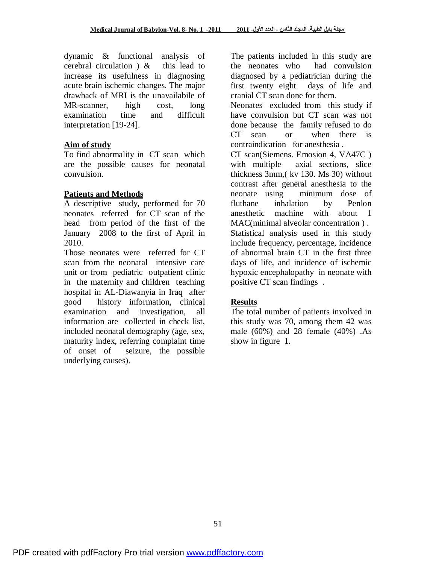dynamic & functional analysis of cerebral circulation ) & this lead to increase its usefulness in diagnosing acute brain ischemic changes. The major drawback of MRI is the unavailabile of MR-scanner, high cost, long examination time and difficult interpretation [19-24].

#### **Aim of study**

To find abnormality in CT scan which are the possible causes for neonatal convulsion.

## **Patients and Methods**

A descriptive study, performed for 70 neonates referred for CT scan of the head from period of the first of the January 2008 to the first of April in 2010.

Those neonates were referred for CT scan from the neonatal intensive care unit or from pediatric outpatient clinic in the maternity and children teaching hospital in AL-Diawanyia in Iraq after good history information, clinical examination and investigation, all information are collected in check list, included neonatal demography (age, sex, maturity index, referring complaint time of onset of seizure, the possible underlying causes).

The patients included in this study are the neonates who had convulsion diagnosed by a pediatrician during the first twenty eight days of life and cranial CT scan done for them.

Neonates excluded from this study if have convulsion but CT scan was not done because the family refused to do CT scan or when there is contraindication for anesthesia .

CT scan(Siemens. Emosion 4, VA47C ) with multiple axial sections, slice thickness 3mm,( kv 130. Ms 30) without contrast after general anesthesia to the neonate using minimum dose of fluthane inhalation by Penlon anesthetic machine with about 1 MAC(minimal alveolar concentration ) . Statistical analysis used in this study include frequency, percentage, incidence of abnormal brain CT in the first three days of life, and incidence of ischemic hypoxic encephalopathy in neonate with positive CT scan findings .

# **Results**

The total number of patients involved in this study was 70, among them 42 was male (60%) and 28 female (40%) .As show in figure 1.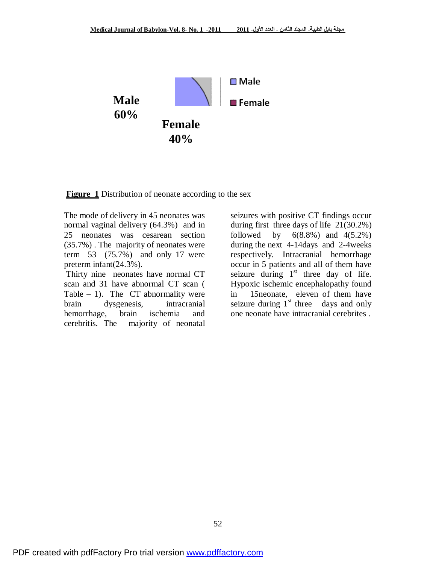

**Figure 1** Distribution of neonate according to the sex

The mode of delivery in 45 neonates was normal vaginal delivery (64.3%) and in 25 neonates was cesarean section (35.7%) . The majority of neonates were term 53 (75.7%) and only 17 were preterm infant(24.3%).

Thirty nine neonates have normal CT scan and 31 have abnormal CT scan ( Table  $-1$ ). The CT abnormality were brain dysgenesis, intracranial hemorrhage, brain ischemia and cerebritis. The majority of neonatal

seizures with positive CT findings occur during first three days of life 21(30.2%) followed by  $6(8.8\%)$  and  $4(5.2\%)$ during the next 4-14days and 2-4weeks respectively. Intracranial hemorrhage occur in 5 patients and all of them have seizure during  $1<sup>st</sup>$  three day of life. Hypoxic ischemic encephalopathy found in 15neonate, eleven of them have seizure during  $1<sup>st</sup>$  three days and only one neonate have intracranial cerebrites .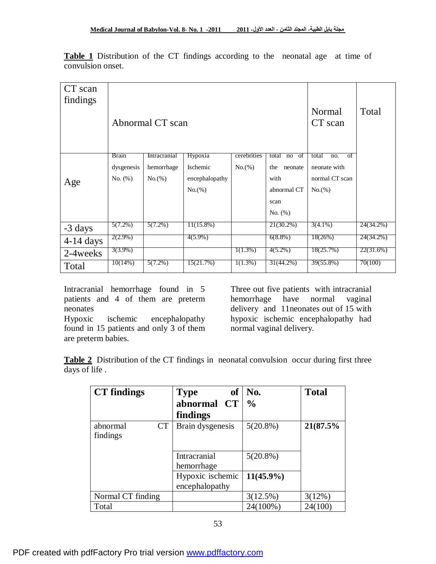| CT scan<br>findings | Abnormal CT scan           |                            |                     |                       |                               | Normal<br>CT scan                        | Total     |
|---------------------|----------------------------|----------------------------|---------------------|-----------------------|-------------------------------|------------------------------------------|-----------|
|                     | <b>Brain</b><br>dysgenesis | Intracranial<br>hemorrhage | Hypoxia<br>Ischemic | cerebrities<br>No.(%) | total no of<br>the<br>neonate | total<br>$\sigma$<br>no.<br>neonate with |           |
| Age                 | No. $(\%)$                 | No.(%)                     | encephalopathy      |                       | with                          | normal CT scan                           |           |
|                     |                            |                            | No.(%)              |                       | abnormal CT                   | $No.$ (%)                                |           |
|                     |                            |                            |                     |                       | scan                          |                                          |           |
|                     |                            |                            |                     |                       | No. (%)                       |                                          |           |
| -3 days             | $5(7.2\%)$                 | $5(7.2\%)$                 | $11(15.8\%)$        |                       | 21(30.2%)                     | $3(4.1\%)$                               | 24(34.2%) |
| $4-14$ days         | $2(2.9\%)$                 |                            | $4(5.9\%)$          |                       | $6(8.8\%)$                    | 18(26%)                                  | 24(34.2%) |
| 2-4 weeks           | $3(3.9\%)$                 |                            |                     | $1(1.3\%)$            | $4(5.2\%)$                    | 18(25.7%)                                | 22(31.6%) |
| Total               | 10(14%)                    | $5(7.2\%)$                 | 15(21.7%)           | $1(1.3\%)$            | 31(44.2%)                     | 39(55.8%)                                | 70(100)   |

**Table 1** Distribution of the CT findings according to the neonatal age at time of convulsion onset.

Intracranial hemorrhage found in 5 patients and 4 of them are preterm neonates

Hypoxic ischemic encephalopathy found in 15 patients and only 3 of them are preterm babies.

Three out five patients with intracranial hemorrhage have normal vaginal delivery and 11neonates out of 15 with hypoxic ischemic encephalopathy had normal vaginal delivery.

**Table 2** Distribution of the CT findings in neonatal convulsion occur during first three days of life .

| <b>CT</b> findings                | <b>of</b><br><b>Type</b>           | No.           | <b>Total</b> |
|-----------------------------------|------------------------------------|---------------|--------------|
|                                   | abnormal CT                        | $\frac{0}{0}$ |              |
|                                   | findings                           |               |              |
| <b>CT</b><br>abnormal<br>findings | Brain dysgenesis                   | $5(20.8\%)$   | 21(87.5%     |
|                                   | Intracranial                       | $5(20.8\%)$   |              |
|                                   | hemorrhage                         |               |              |
|                                   | Hypoxic ischemic<br>encephalopathy | $11(45.9\%)$  |              |
| Normal CT finding                 |                                    | 3(12.5%)      | 3(12%)       |
| Total                             |                                    | 24(100%)      | 24(100)      |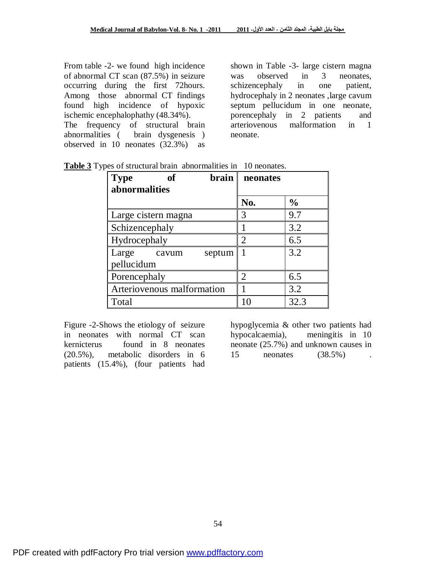From table -2- we found high incidence of abnormal CT scan (87.5%) in seizure occurring during the first 72hours. Among those abnormal CT findings found high incidence of hypoxic ischemic encephalophathy (48.34%). The frequency of structural brain abnormalities ( brain dysgenesis ) observed in 10 neonates (32.3%) as

shown in Table -3- large cistern magna was observed in 3 neonates. schizencephaly in one patient, hydrocephaly in 2 neonates ,large cavum septum pellucidum in one neonate, porencephaly in 2 patients and arteriovenous malformation in 1 neonate.

| of<br>$brain$<br><b>Type</b><br>abnormalities | neonates       |               |  |
|-----------------------------------------------|----------------|---------------|--|
|                                               | No.            | $\frac{0}{0}$ |  |
| Large cistern magna                           | 3              | 9.7           |  |
| Schizencephaly                                |                | 3.2           |  |
| Hydrocephaly                                  | 2              | 6.5           |  |
| Large<br>septum<br>cavum<br>pellucidum        |                | 3.2           |  |
| Porencephaly                                  | $\overline{2}$ | 6.5           |  |
| Arteriovenous malformation                    |                | 3.2           |  |
| Total                                         | 10             | 32.3          |  |

**Table 3** Types of structural brain abnormalities in 10 neonates.

Figure -2-Shows the etiology of seizure in neonates with normal CT scan kernicterus found in 8 neonates (20.5%), metabolic disorders in 6 patients (15.4%), (four patients had

hypoglycemia & other two patients had hypocalcaemia), meningitis in 10 neonate (25.7%) and unknown causes in 15 neonates (38.5%) .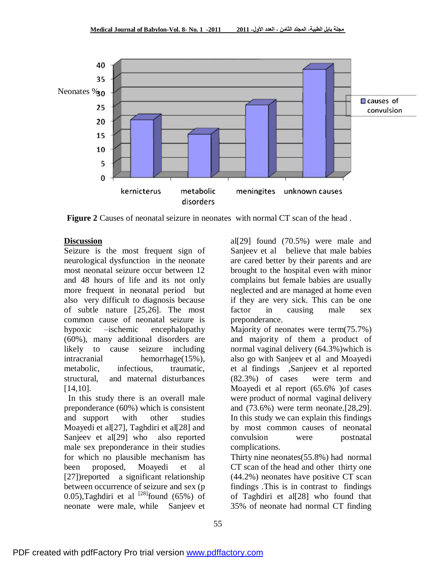

**Figure 2** Causes of neonatal seizure in neonates with normal CT scan of the head .

#### **Discussion**

Seizure is the most frequent sign of neurological dysfunction in the neonate most neonatal seizure occur between 12 and 48 hours of life and its not only more frequent in neonatal period but also very difficult to diagnosis because of subtle nature [25,26]. The most common cause of neonatal seizure is hypoxic –ischemic encephalopathy (60%), many additional disorders are likely to cause seizure including intracranial hemorrhage(15%), metabolic, infectious, traumatic, structural, and maternal disturbances [14,10].

 In this study there is an overall male preponderance (60%) which is consistent and support with other studies Moayedi et al<sup>[27]</sup>, Taghdiri et al<sup>[28]</sup> and Sanjeev et al<sup>[29]</sup> who also reported male sex preponderance in their studies for which no plausible mechanism has been proposed, Moayedi et al [27])reported a significant relationship between occurrence of seizure and sex (p 0.05),Taghdiri et al  $^{[28]}$ found (65%) of neonate were male, while Sanjeev et

al[29] found (70.5%) were male and Sanjeev et al believe that male babies are cared better by their parents and are brought to the hospital even with minor complains but female babies are usually neglected and are managed at home even if they are very sick. This can be one factor in causing male sex preponderance.

Majority of neonates were term(75.7%) and majority of them a product of normal vaginal delivery (64.3%)which is also go with Sanjeev et al and Moayedi et al findings ,Sanjeev et al reported (82.3%) of cases were term and Moayedi et al report (65.6% )of cases were product of normal vaginal delivery and (73.6%) were term neonate.[28,29]. In this study we can explain this findings by most common causes of neonatal convulsion were postnatal complications.

Thirty nine neonates(55.8%) had normal CT scan of the head and other thirty one (44.2%) neonates have positive CT scan findings .This is in contrast to findings of Taghdiri et al[28] who found that 35% of neonate had normal CT finding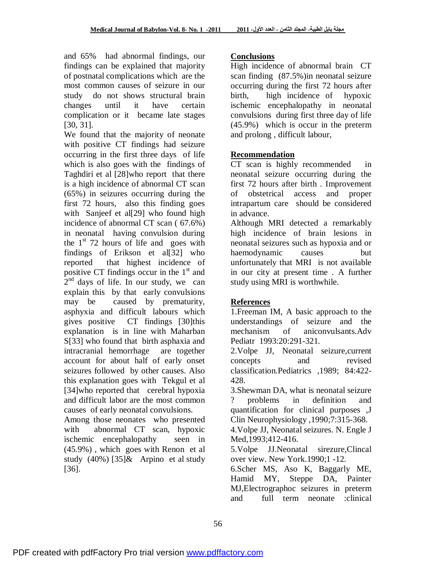and 65% had abnormal findings, our findings can be explained that majority of postnatal complications which are the most common causes of seizure in our study do not shows structural brain changes until it have certain complication or it became late stages [30, 31].

We found that the majority of neonate with positive CT findings had seizure occurring in the first three days of life which is also goes with the findings of Taghdiri et al [28]who report that there is a high incidence of abnormal CT scan (65%) in seizures occurring during the first 72 hours, also this finding goes with Sanjeef et al<sup>[29]</sup> who found high incidence of abnormal CT scan ( 67.6%) in neonatal having convulsion during the  $1<sup>st</sup>$  72 hours of life and goes with findings of Erikson et al[32] who reported that highest incidence of positive CT findings occur in the  $1<sup>st</sup>$  and  $2<sup>nd</sup>$  days of life. In our study, we can explain this by that early convulsions may be caused by prematurity, asphyxia and difficult labours which gives positive CT findings [30]this explanation is in line with Maharban S[33] who found that birth asphaxia and intracranial hemorrhage are together account for about half of early onset seizures followed by other causes. Also this explanation goes with Tekgul et al [34] who reported that cerebral hypoxia and difficult labor are the most common causes of early neonatal convulsions. Among those neonates who presented with abnormal CT scan, hypoxic

ischemic encephalopathy seen in (45.9%) , which goes with Renon et al study (40%) [35]& Arpino et al study [36].

### **Conclusions**

High incidence of abnormal brain CT scan finding (87.5%)in neonatal seizure occurring during the first 72 hours after birth, high incidence of hypoxic ischemic encephalopathy in neonatal convulsions during first three day of life (45.9%) which is occur in the preterm and prolong , difficult labour,

# **Recommendation**

CT scan is highly recommended in neonatal seizure occurring during the first 72 hours after birth . Improvement of obstetrical access and proper intrapartum care should be considered in advance.

Although MRI detected a remarkably high incidence of brain lesions in neonatal seizures such as hypoxia and or haemodynamic causes but unfortunately that MRI is not available in our city at present time . A further study using MRI is worthwhile.

# **References**

1.Freeman IM, A basic approach to the understandings of seizure and the mechanism of aniconvulsants.Adv Pediatr 1993:20:291-321.

2.Volpe JJ, Neonatal seizure,current concepts and revised classification.Pediatrics ,1989; 84:422- 428.

3.Shewman DA, what is neonatal seizure ? problems in definition and quantification for clinical purposes ,J Clin Neurophysiology ,1990;7:315-368.

4.Volpe JJ, Neonatal seizures. N. Engle J Med,1993;412-416.

5.Volpe JJ.Neonatal sirezure,Clincal over view. New York.1990;1 -12.

6.Scher MS, Aso K, Baggarly ME, Hamid MY, Steppe DA, Painter MJ,Electrographoc seizures in preterm and full term neonate :clinical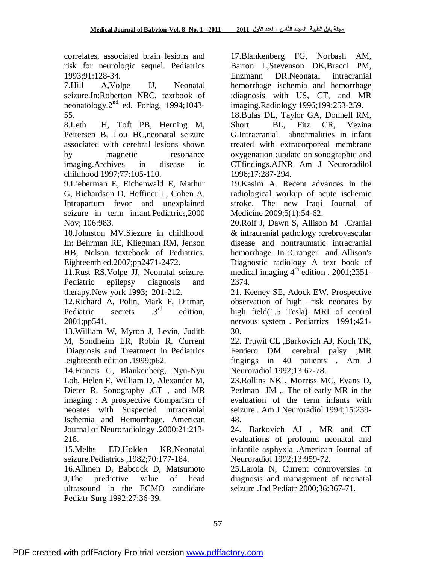correlates, associated brain lesions and risk for neurologic sequel. Pediatrics 1993;91:128-34.

7.Hill A,Volpe JJ, Neonatal seizure.In:Roberton NRC, textbook of neonatology.2nd ed. Forlag, 1994;1043- 55.

8.Leth H, Toft PB, Herning M, Peitersen B, Lou HC,neonatal seizure associated with cerebral lesions shown by magnetic resonance imaging.Archives in disease in childhood 1997;77:105-110.

9.Lieberman E, Eichenwald E, Mathur G, Richardson D, Heffiner L, Cohen A. Intrapartum fevor and unexplained seizure in term infant,Pediatrics,2000 Nov; 106:983.

10.Johnston MV.Siezure in childhood. In: Behrman RE, Kliegman RM, Jenson HB; Nelson textebook of Pediatrics. Eighteenth ed.2007;pp2471-2472.

11.Rust RS,Volpe JJ, Neonatal seizure. Pediatric epilepsy diagnosis and therapy.New york 1993; 201-212.

12.Richard A, Polin, Mark F, Ditmar, Pediatric secrets  $.3<sup>rd</sup>$  edition. 2001;pp541.

13.William W, Myron J, Levin, Judith M, Sondheim ER, Robin R. Current .Diagnosis and Treatment in Pediatrics .eighteenth edition .1999;p62.

14.Francis G, Blankenberg, Nyu-Nyu Loh, Helen E, William D, Alexander M, Dieter R. Sonography ,CT , and MR imaging : A prospective Comparism of neoates with Suspected Intracranial Ischemia and Hemorrhage. American Journal of Neuroradiology .2000;21:213- 218.

15.Melhs ED,Holden KR,Neonatal seizure,Pediatrics ,1982;70:177-184.

16.Allmen D, Babcock D, Matsumoto J,The predictive value of head ultrasound in the ECMO candidate Pediatr Surg 1992;27:36-39.

17.Blankenberg FG, Norbash AM, Barton L,Stevenson DK,Bracci PM, Enzmann DR.Neonatal intracranial hemorrhage ischemia and hemorrhage :diagnosis with US, CT, and MR imaging.Radiology 1996;199:253-259.

18.Bulas DL, Taylor GA, Donnell RM, Short BL, Fitz CR, Vezina G.Intracranial abnormalities in infant treated with extracorporeal membrane oxygenation :update on sonographic and CTfindings.AJNR Am J Neuroradilol 1996;17:287-294.

19.Kasim A. Recent advances in the radiological workup of acute ischemic stroke. The new Iraqi Journal of Medicine 2009;5(1):54-62.

20.Rolf J, Dawn S, Allison M .Cranial & intracranial pathology :crebrovascular disease and nontraumatic intracranial hemorrhage .In :Granger and Allison's Diagnostic radiology A text book of medical imaging  $4^{th}$  edition . 2001;2351-2374.

21. Keeney SE, Adock EW. Prospective observation of high –risk neonates by high field(1.5 Tesla) MRI of central nervous system . Pediatrics 1991;421- 30.

22. Truwit CL ,Barkovich AJ, Koch TK, Ferriero DM. cerebral palsy ;MR fingings in 40 patients . Am J Neuroradiol 1992;13:67-78.

23.Rollins NK , Morriss MC, Evans D, Perlman JM ,. The of early MR in the evaluation of the term infants with seizure . Am J Neuroradiol 1994;15:239- 48.

24. Barkovich AJ , MR and CT evaluations of profound neonatal and infantile asphyxia .American Journal of Neuroradiol 1992;13:959-72.

25.Laroia N, Current controversies in diagnosis and management of neonatal seizure .Ind Pediatr 2000;36:367-71.